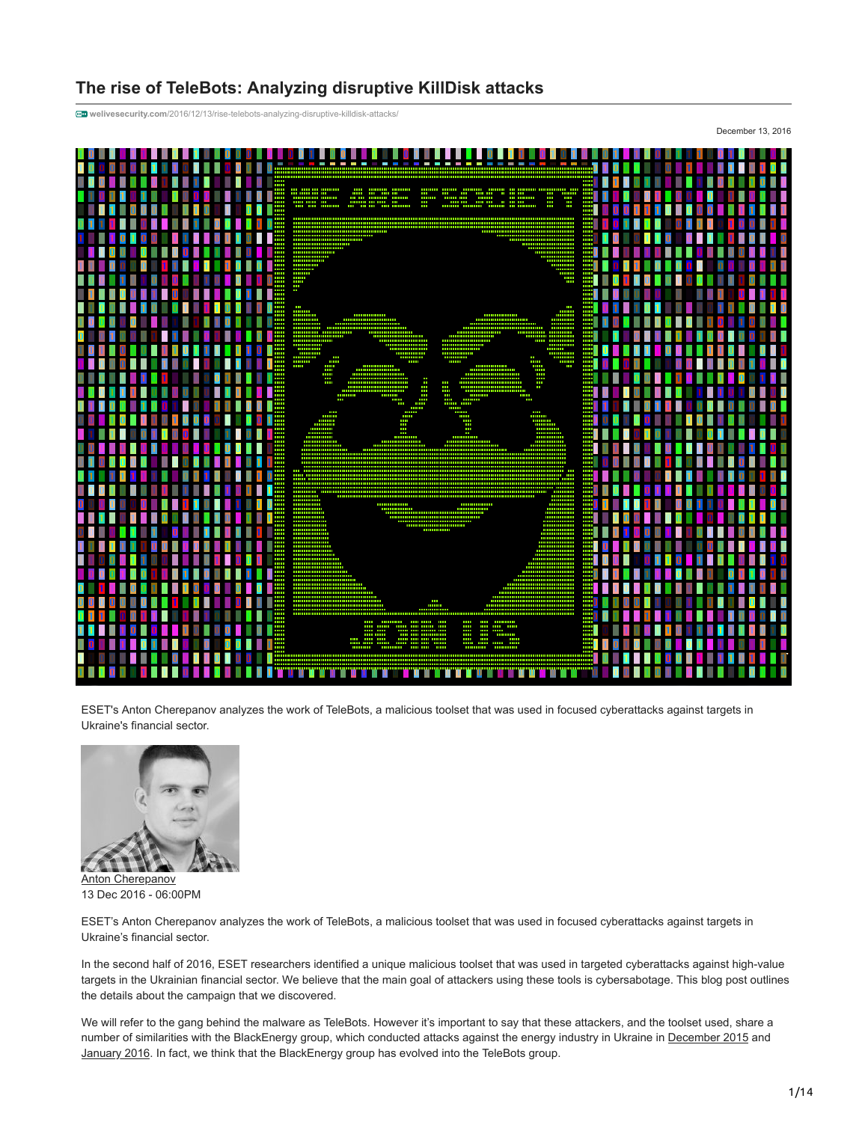# **The rise of TeleBots: Analyzing disruptive KillDisk attacks**

**welivesecurity.com**[/2016/12/13/rise-telebots-analyzing-disruptive-killdisk-attacks/](http://www.welivesecurity.com/2016/12/13/rise-telebots-analyzing-disruptive-killdisk-attacks/)



ESET's Anton Cherepanov analyzes the work of TeleBots, a malicious toolset that was used in focused cyberattacks against targets in Ukraine's financial sector.



[Anton Cherepanov](https://www.welivesecurity.com/author/acherepanov/) 13 Dec 2016 - 06:00PM

ESET's Anton Cherepanov analyzes the work of TeleBots, a malicious toolset that was used in focused cyberattacks against targets in Ukraine's financial sector.

In the second half of 2016, ESET researchers identified a unique malicious toolset that was used in targeted cyberattacks against high-value targets in the Ukrainian financial sector. We believe that the main goal of attackers using these tools is cybersabotage. This blog post outlines the details about the campaign that we discovered.

We will refer to the gang behind the malware as TeleBots. However it's important to say that these attackers, and the toolset used, share a number of similarities with the BlackEnergy group, which conducted attacks against the energy industry in Ukraine in [December 2015](http://www.welivesecurity.com/2016/01/03/blackenergy-sshbeardoor-details-2015-attacks-ukrainian-news-media-electric-industry/) and [January 2016.](http://www.welivesecurity.com/2016/01/20/new-wave-attacks-ukrainian-power-industry/) In fact, we think that the BlackEnergy group has evolved into the TeleBots group.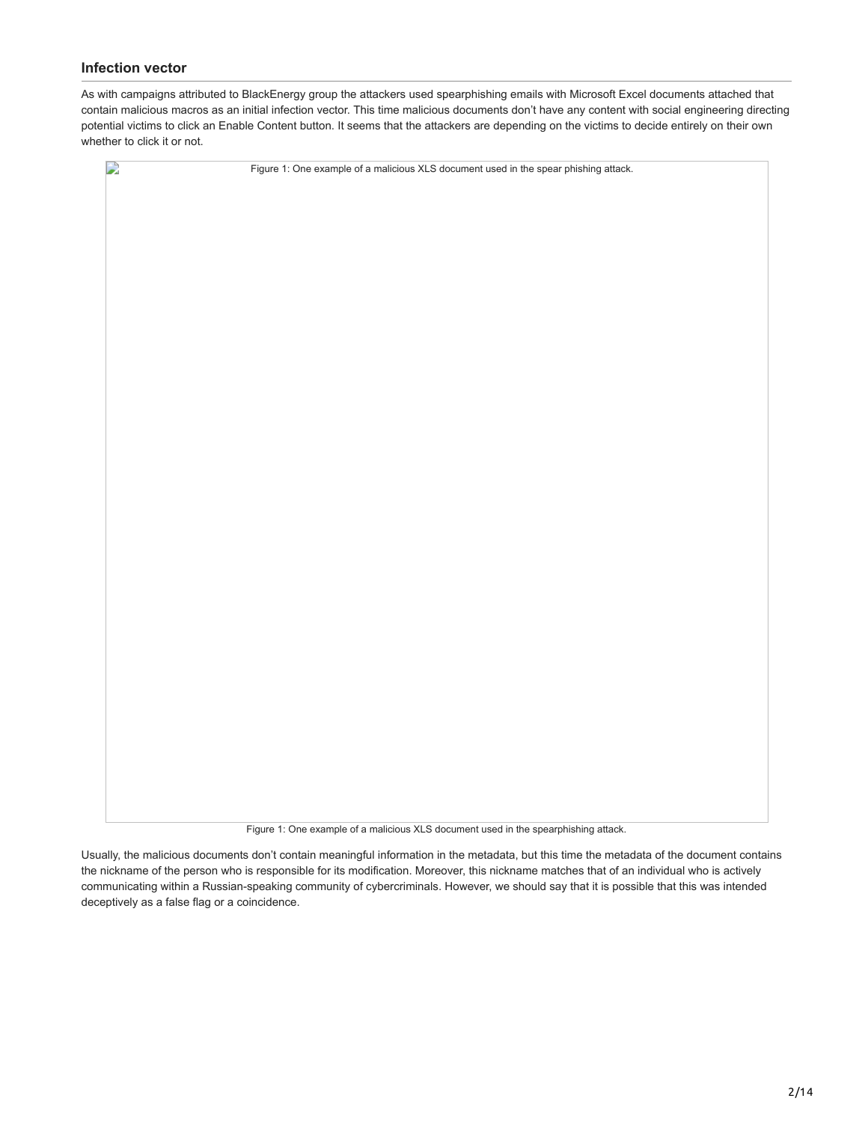## **Infection vector**

As with campaigns attributed to BlackEnergy group the attackers used spearphishing emails with Microsoft Excel documents attached that contain malicious macros as an initial infection vector. This time malicious documents don't have any content with social engineering directing potential victims to click an Enable Content button. It seems that the attackers are depending on the victims to decide entirely on their own whether to click it or not.



Figure 1: One example of a malicious XLS document used in the spearphishing attack.

Usually, the malicious documents don't contain meaningful information in the metadata, but this time the metadata of the document contains the nickname of the person who is responsible for its modification. Moreover, this nickname matches that of an individual who is actively communicating within a Russian-speaking community of cybercriminals. However, we should say that it is possible that this was intended deceptively as a false flag or a coincidence.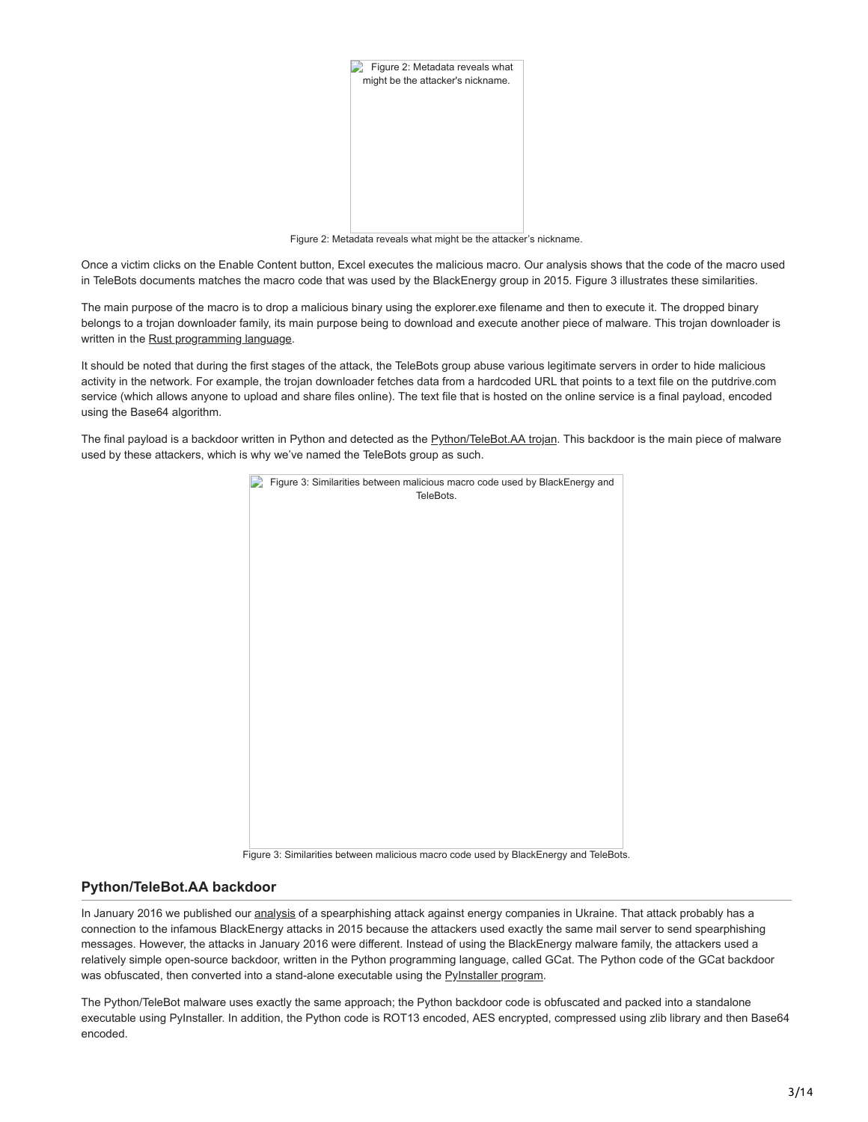

Figure 2: Metadata reveals what might be the attacker's nickname.

Once a victim clicks on the Enable Content button, Excel executes the malicious macro. Our analysis shows that the code of the macro used in TeleBots documents matches the macro code that was used by the BlackEnergy group in 2015. Figure 3 illustrates these similarities.

The main purpose of the macro is to drop a malicious binary using the explorer.exe filename and then to execute it. The dropped binary belongs to a trojan downloader family, its main purpose being to download and execute another piece of malware. This trojan downloader is written in the [Rust programming language.](https://en.wikipedia.org/wiki/Rust_(programming_language))

It should be noted that during the first stages of the attack, the TeleBots group abuse various legitimate servers in order to hide malicious activity in the network. For example, the trojan downloader fetches data from a hardcoded URL that points to a text file on the putdrive.com service (which allows anyone to upload and share files online). The text file that is hosted on the online service is a final payload, encoded using the Base64 algorithm.

The final payload is a backdoor written in Python and detected as the [Python/TeleBot.AA trojan](http://www.virusradar.com/en/Python_TeleBot.AA/description). This backdoor is the main piece of malware used by these attackers, which is why we've named the TeleBots group as such.



Figure 3: Similarities between malicious macro code used by BlackEnergy and TeleBots.

### **Python/TeleBot.AA backdoor**

In January 2016 we published our [analysis](http://www.welivesecurity.com/2016/01/20/new-wave-attacks-ukrainian-power-industry/) of a spearphishing attack against energy companies in Ukraine. That attack probably has a connection to the infamous BlackEnergy attacks in 2015 because the attackers used exactly the same mail server to send spearphishing messages. However, the attacks in January 2016 were different. Instead of using the BlackEnergy malware family, the attackers used a relatively simple open-source backdoor, written in the Python programming language, called GCat. The Python code of the GCat backdoor was obfuscated, then converted into a stand-alone executable using the [PyInstaller program](http://www.pyinstaller.org/).

The Python/TeleBot malware uses exactly the same approach; the Python backdoor code is obfuscated and packed into a standalone executable using PyInstaller. In addition, the Python code is ROT13 encoded, AES encrypted, compressed using zlib library and then Base64 encoded.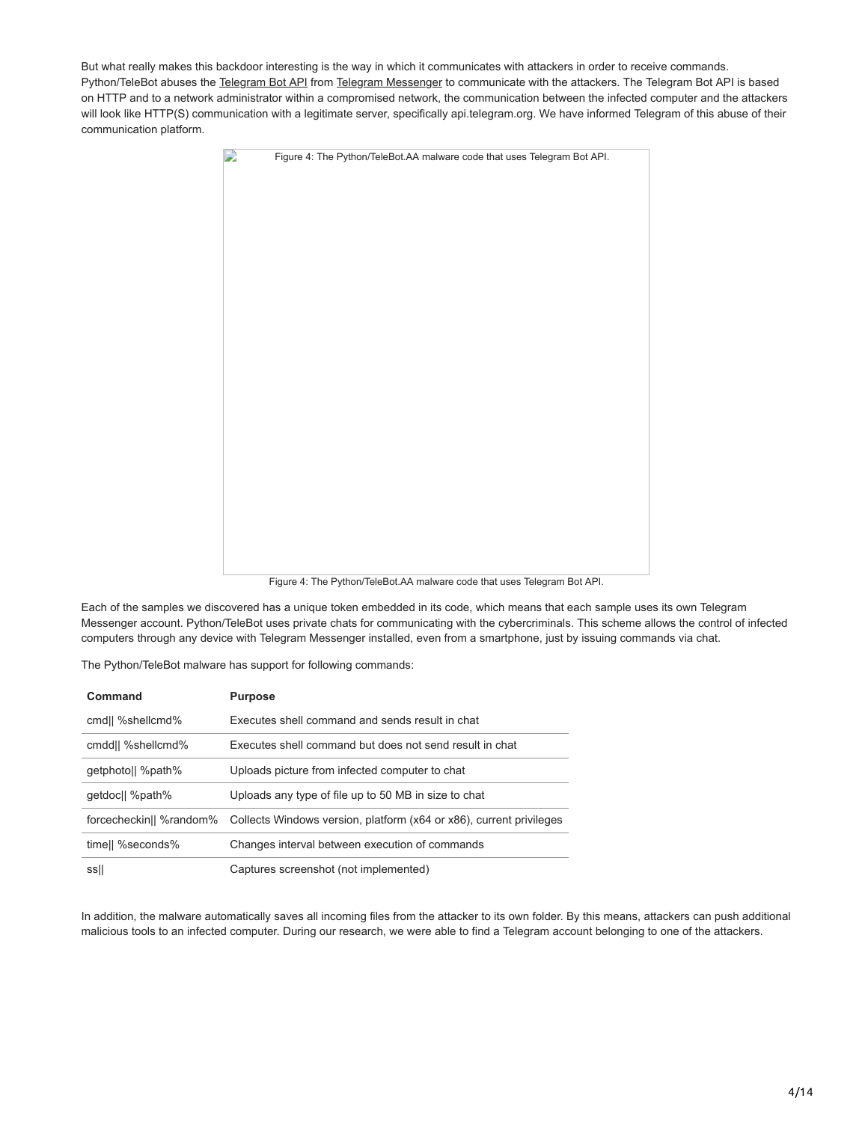But what really makes this backdoor interesting is the way in which it communicates with attackers in order to receive commands. Python/TeleBot abuses the [Telegram Bot API](https://core.telegram.org/bots/api) from [Telegram Messenger](https://telegram.org/) to communicate with the attackers. The Telegram Bot API is based on HTTP and to a network administrator within a compromised network, the communication between the infected computer and the attackers will look like HTTP(S) communication with a legitimate server, specifically api.telegram.org. We have informed Telegram of this abuse of their communication platform.



Figure 4: The Python/TeleBot.AA malware code that uses Telegram Bot API.

Each of the samples we discovered has a unique token embedded in its code, which means that each sample uses its own Telegram Messenger account. Python/TeleBot uses private chats for communicating with the cybercriminals. This scheme allows the control of infected computers through any device with Telegram Messenger installed, even from a smartphone, just by issuing commands via chat.

The Python/TeleBot malware has support for following commands:

| Command                 | <b>Purpose</b>                                                      |
|-------------------------|---------------------------------------------------------------------|
| cmd   %shellcmd%        | Executes shell command and sends result in chat                     |
| cmdd   %shellcmd%       | Executes shell command but does not send result in chat             |
| getphotoll %path%       | Uploads picture from infected computer to chat                      |
| getdoc   %path%         | Uploads any type of file up to 50 MB in size to chat                |
| forcecheckin   %random% | Collects Windows version, platform (x64 or x86), current privileges |
| timell %seconds%        | Changes interval between execution of commands                      |
| ssil                    | Captures screenshot (not implemented)                               |

In addition, the malware automatically saves all incoming files from the attacker to its own folder. By this means, attackers can push additional malicious tools to an infected computer. During our research, we were able to find a Telegram account belonging to one of the attackers.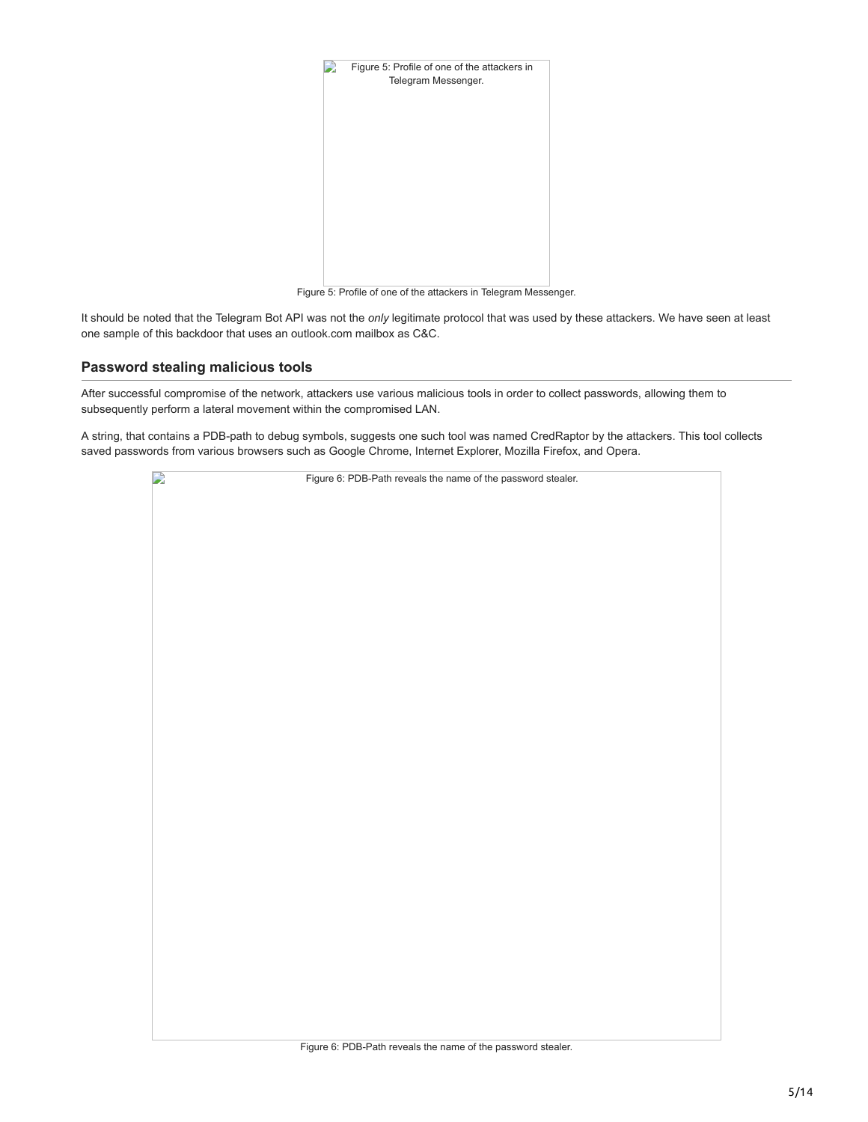

Figure 5: Profile of one of the attackers in Telegram Messenger.

It should be noted that the Telegram Bot API was not the *only* legitimate protocol that was used by these attackers. We have seen at least one sample of this backdoor that uses an outlook.com mailbox as C&C.

### **Password stealing malicious tools**

After successful compromise of the network, attackers use various malicious tools in order to collect passwords, allowing them to subsequently perform a lateral movement within the compromised LAN.

A string, that contains a PDB-path to debug symbols, suggests one such tool was named CredRaptor by the attackers. This tool collects saved passwords from various browsers such as Google Chrome, Internet Explorer, Mozilla Firefox, and Opera.

| $\mathbf{L}$ | Figure 6: PDB-Path reveals the name of the password stealer. |
|--------------|--------------------------------------------------------------|
|              |                                                              |
|              |                                                              |
|              |                                                              |
|              |                                                              |
|              |                                                              |
|              |                                                              |
|              |                                                              |
|              |                                                              |
|              |                                                              |
|              |                                                              |
|              |                                                              |
|              |                                                              |
|              |                                                              |
|              |                                                              |
|              |                                                              |
|              |                                                              |
|              |                                                              |
|              |                                                              |
|              |                                                              |
|              |                                                              |
|              |                                                              |
|              |                                                              |
|              |                                                              |
|              |                                                              |
|              |                                                              |
|              |                                                              |
|              |                                                              |
|              |                                                              |
|              | Figure 6: PDB-Path reveals the name of the password stealer. |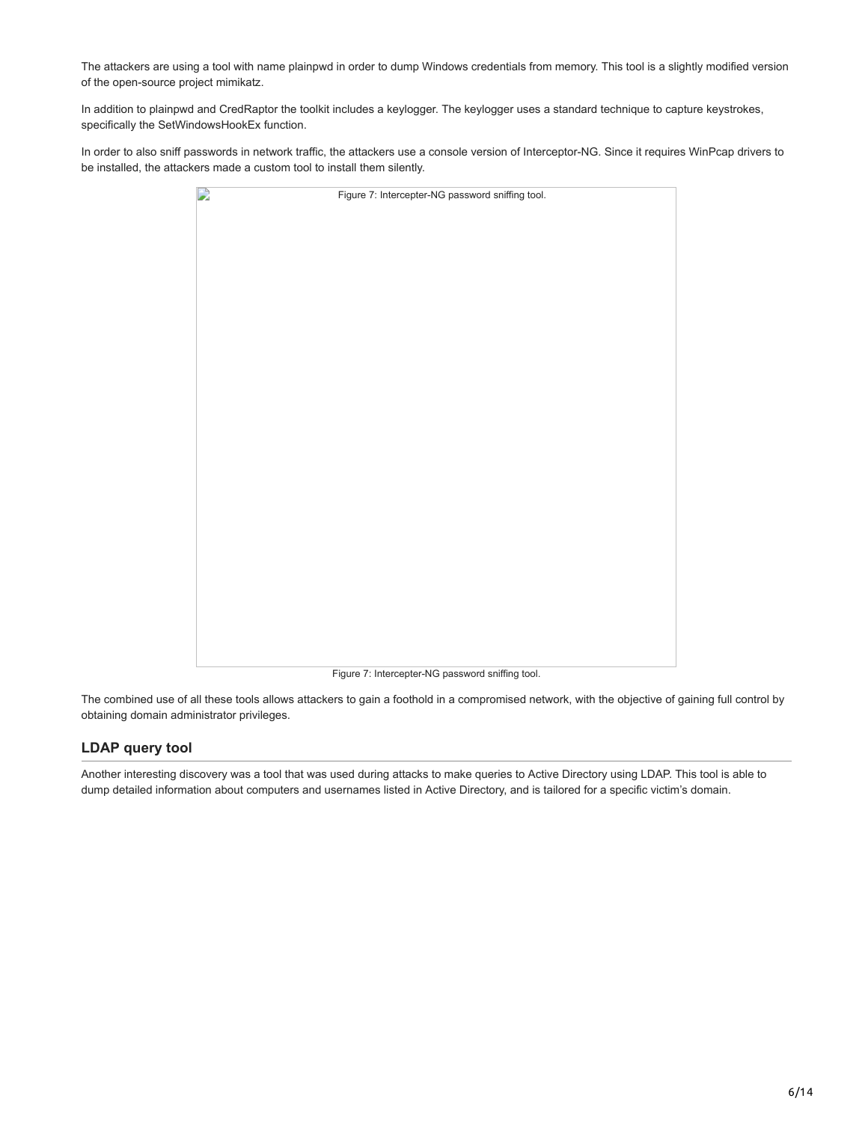The attackers are using a tool with name plainpwd in order to dump Windows credentials from memory. This tool is a slightly modified version of the open-source project mimikatz.

In addition to plainpwd and CredRaptor the toolkit includes a keylogger. The keylogger uses a standard technique to capture keystrokes, specifically the SetWindowsHookEx function.

In order to also sniff passwords in network traffic, the attackers use a console version of Interceptor-NG. Since it requires WinPcap drivers to be installed, the attackers made a custom tool to install them silently.

| $\mathbf{L}$ | Figure 7: Intercepter-NG password sniffing tool. |
|--------------|--------------------------------------------------|
|              |                                                  |
|              |                                                  |
|              |                                                  |
|              |                                                  |
|              |                                                  |
|              |                                                  |
|              |                                                  |
|              |                                                  |
|              |                                                  |
|              |                                                  |
|              |                                                  |
|              |                                                  |
|              |                                                  |
|              |                                                  |
|              |                                                  |
|              |                                                  |
|              |                                                  |
|              |                                                  |
|              |                                                  |
|              |                                                  |
|              |                                                  |
|              |                                                  |
|              | Figure 7: Intercepter-NG password sniffing tool. |

The combined use of all these tools allows attackers to gain a foothold in a compromised network, with the objective of gaining full control by obtaining domain administrator privileges.

# **LDAP query tool**

Another interesting discovery was a tool that was used during attacks to make queries to Active Directory using LDAP. This tool is able to dump detailed information about computers and usernames listed in Active Directory, and is tailored for a specific victim's domain.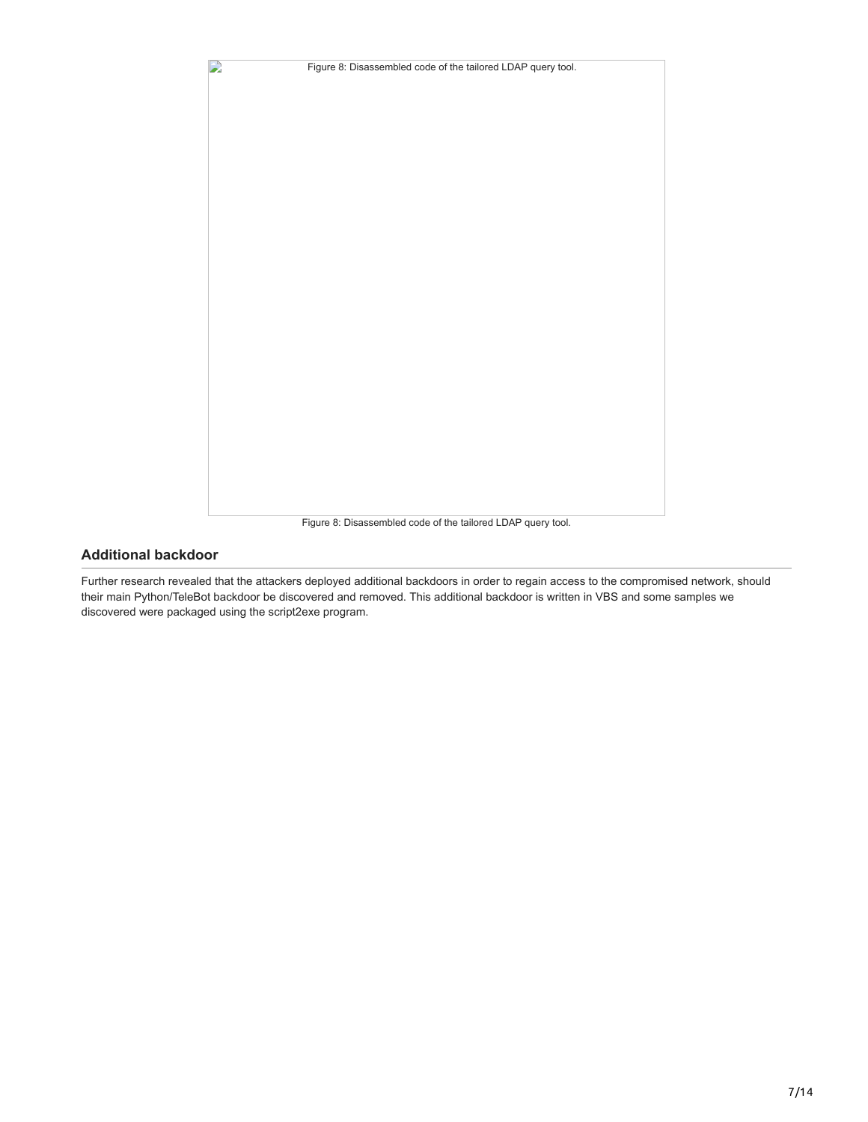

### Figure 8: Disassembled code of the tailored LDAP query tool.

# **Additional backdoor**

Further research revealed that the attackers deployed additional backdoors in order to regain access to the compromised network, should their main Python/TeleBot backdoor be discovered and removed. This additional backdoor is written in VBS and some samples we discovered were packaged using the script2exe program.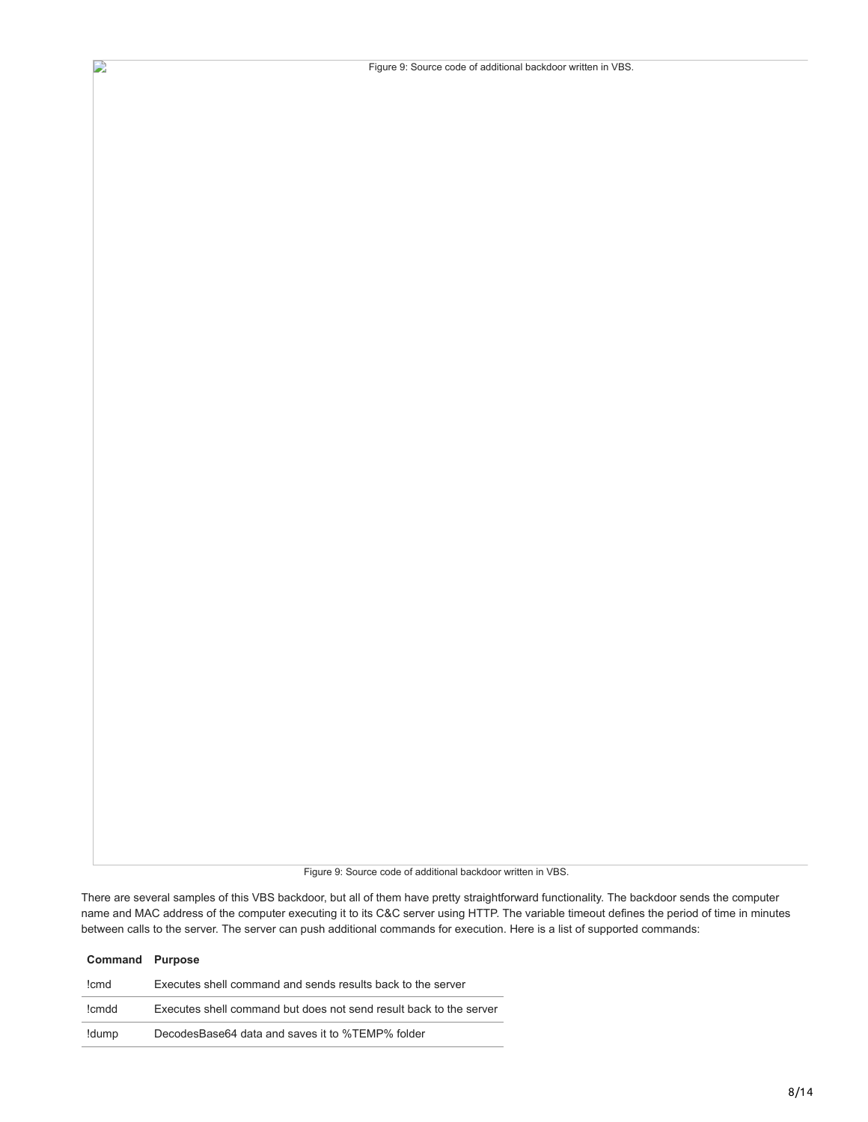Figure 9: Source code of additional backdoor written in VBS.

Figure 9: Source code of additional backdoor written in VBS.

There are several samples of this VBS backdoor, but all of them have pretty straightforward functionality. The backdoor sends the computer name and MAC address of the computer executing it to its C&C server using HTTP. The variable timeout defines the period of time in minutes between calls to the server. The server can push additional commands for execution. Here is a list of supported commands:

| <b>Command Purpose</b> |                                                                    |
|------------------------|--------------------------------------------------------------------|
| !cmd                   | Executes shell command and sends results back to the server        |
| !cmdd                  | Executes shell command but does not send result back to the server |
| !dump                  | DecodesBase64 data and saves it to %TEMP% folder                   |

D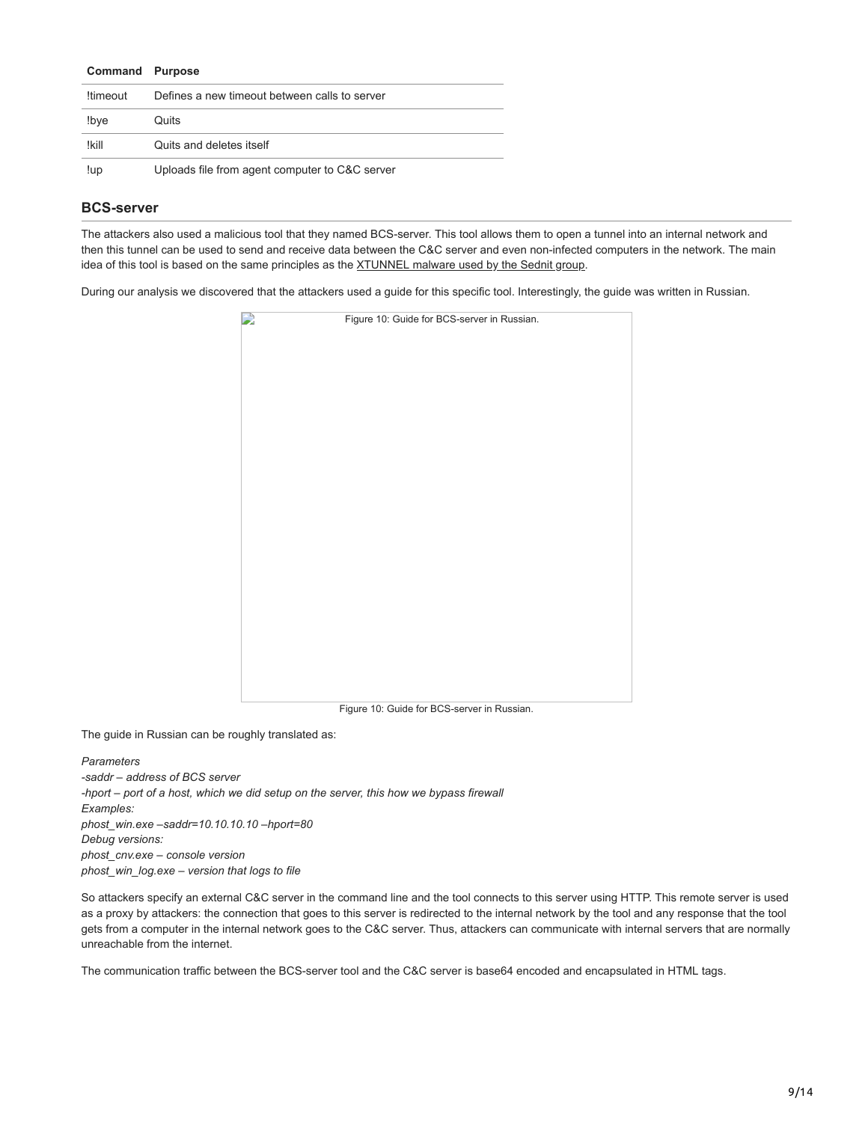| <b>Command Purpose</b> |                                                |
|------------------------|------------------------------------------------|
| !timeout               | Defines a new timeout between calls to server  |
| !bye                   | Quits                                          |
| !kill                  | Quits and deletes itself                       |
| !up                    | Uploads file from agent computer to C&C server |

### **BCS-server**

The attackers also used a malicious tool that they named BCS-server. This tool allows them to open a tunnel into an internal network and then this tunnel can be used to send and receive data between the C&C server and even non-infected computers in the network. The main idea of this tool is based on the same principles as the [XTUNNEL malware used by the Sednit group](http://www.welivesecurity.com/wp-content/uploads/2016/10/eset-sednit-part-2.pdf#36).

During our analysis we discovered that the attackers used a guide for this specific tool. Interestingly, the guide was written in Russian.



Figure 10: Guide for BCS-server in Russian.

The guide in Russian can be roughly translated as:

*Parameters -saddr – address of BCS server -hport – port of a host, which we did setup on the server, this how we bypass firewall Examples: phost\_win.exe –saddr=10.10.10.10 –hport=80 Debug versions: phost\_cnv.exe – console version phost\_win\_log.exe – version that logs to file*

So attackers specify an external C&C server in the command line and the tool connects to this server using HTTP. This remote server is used as a proxy by attackers: the connection that goes to this server is redirected to the internal network by the tool and any response that the tool gets from a computer in the internal network goes to the C&C server. Thus, attackers can communicate with internal servers that are normally unreachable from the internet.

The communication traffic between the BCS-server tool and the C&C server is base64 encoded and encapsulated in HTML tags.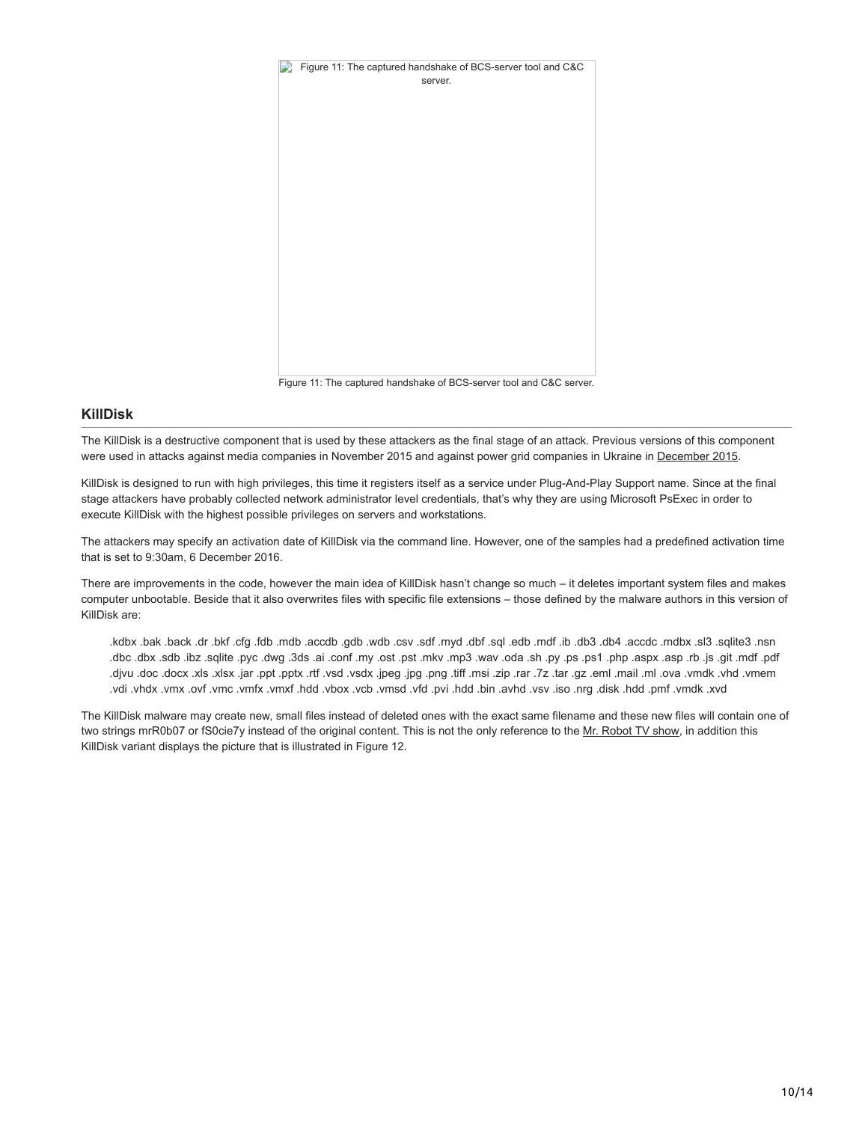

Figure 11: The captured handshake of BCS-server tool and C&C server.

### **KillDisk**

The KillDisk is a destructive component that is used by these attackers as the final stage of an attack. Previous versions of this component were used in attacks against media companies in November 2015 and against power grid companies in Ukraine in [December 2015](http://www.welivesecurity.com/2016/01/03/blackenergy-sshbeardoor-details-2015-attacks-ukrainian-news-media-electric-industry/).

KillDisk is designed to run with high privileges, this time it registers itself as a service under Plug-And-Play Support name. Since at the final stage attackers have probably collected network administrator level credentials, that's why they are using Microsoft PsExec in order to execute KillDisk with the highest possible privileges on servers and workstations.

The attackers may specify an activation date of KillDisk via the command line. However, one of the samples had a predefined activation time that is set to 9:30am, 6 December 2016.

There are improvements in the code, however the main idea of KillDisk hasn't change so much – it deletes important system files and makes computer unbootable. Beside that it also overwrites files with specific file extensions – those defined by the malware authors in this version of KillDisk are:

nan. Eetilpa. Ela. xdbm. obcoa. Adb. Edb. di. htm. dbe. lpa. hdb. bym. hds. vao. dbw. dbg. dbosa. dbm. dbh .gb. hds. hds. hdsd. xdbx. xdb4 .dbc .dbx .sdb .ibz .sqlite .pyc .dwg .3ds .ai .conf .my .ost .pst .mkv .mp3 .wav .oda .sh .py .ps .ps1 .php .aspx .asp .rb .js .git .mdf .pdf memy. blyvu .xlos . kn. lism. lma. zp. nat. z7. nar. qiz. iam. ftif. png .pgi. xbey. bay. ftir. xtgq. tqq. rai .xak. xab. aob. uvjb. .vdi .vhdx .vmx .ovf .vmc .vmfx .vmxf .hdd .vbox .vcb .vmsd .vfd .pvi .hdd .bin .avhd .vsv .iso .nrg .disk .hdd .pmf .vmdk .xvd

The KillDisk malware may create new, small files instead of deleted ones with the exact same filename and these new files will contain one of two strings mrR0b07 or fS0cie7y instead of the original content. This is not the only reference to the [Mr. Robot TV show](http://www.welivesecurity.com/2016/07/23/researching-mr-robot-elliots-world-cybersecurity-comic-con/), in addition this KillDisk variant displays the picture that is illustrated in Figure 12.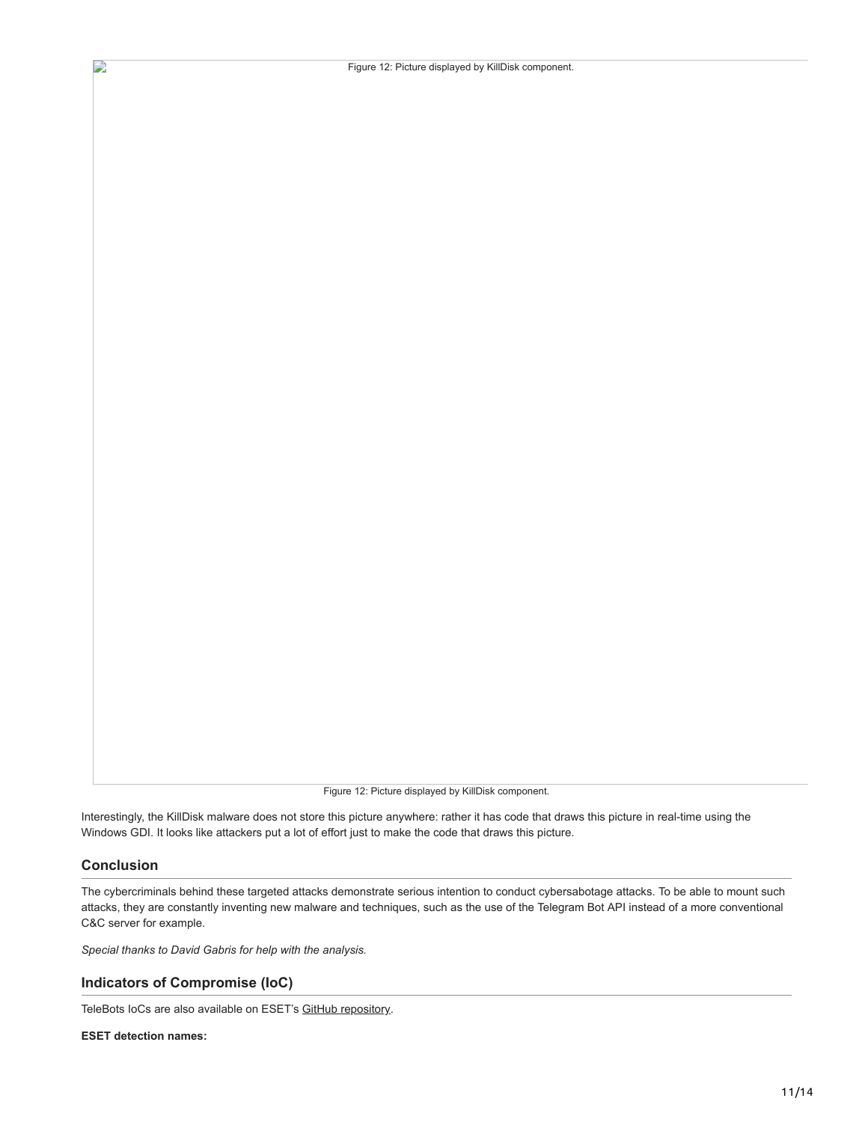Figure 12: Picture displayed by KillDisk component.

Figure 12: Picture displayed by KillDisk component.

Interestingly, the KillDisk malware does not store this picture anywhere: rather it has code that draws this picture in real-time using the Windows GDI. It looks like attackers put a lot of effort just to make the code that draws this picture.

# **Conclusion**

 $\mathbf{D}$ 

The cybercriminals behind these targeted attacks demonstrate serious intention to conduct cybersabotage attacks. To be able to mount such attacks, they are constantly inventing new malware and techniques, such as the use of the Telegram Bot API instead of a more conventional C&C server for example.

*Special thanks to David Gabris for help with the analysis.*

### **Indicators of Compromise (IoC)**

TeleBots IoCs are also available on ESET's [GitHub repository](https://github.com/eset/malware-ioc/tree/master/telebots).

**ESET detection names:**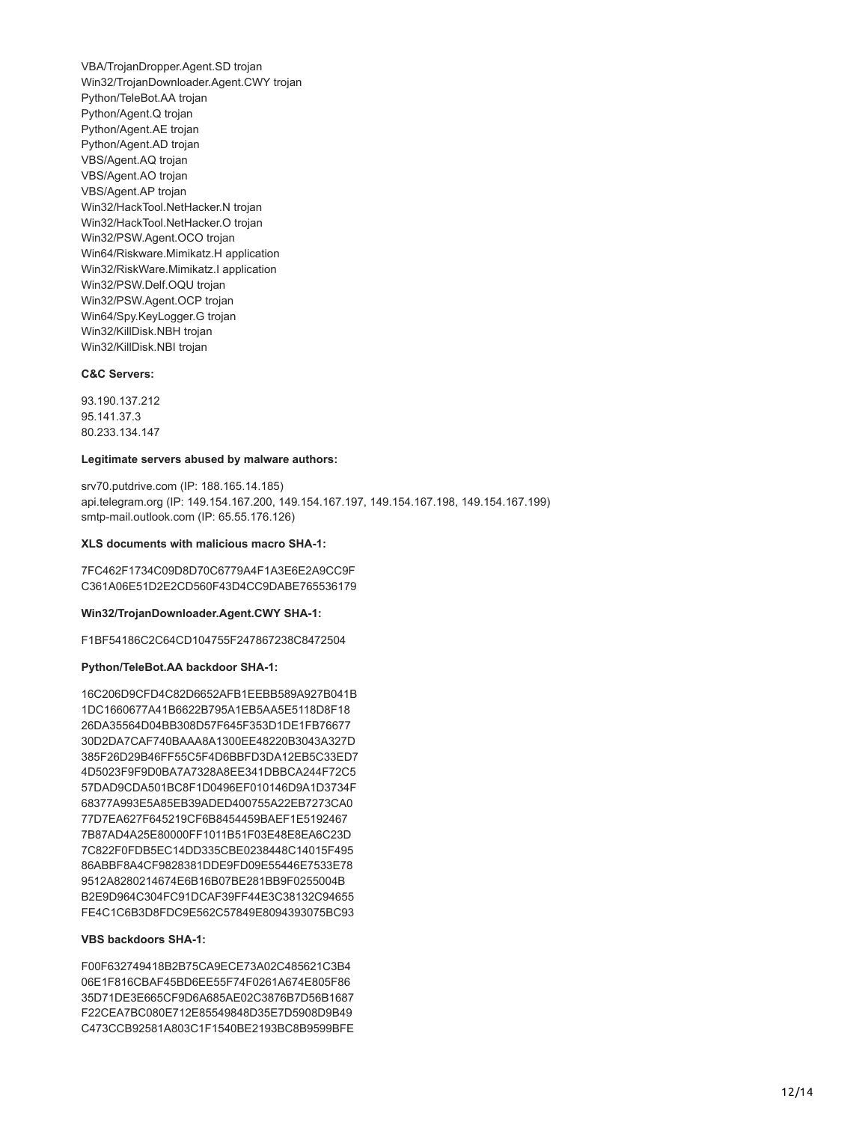VBA/TrojanDropper.Agent.SD trojan Win32/TrojanDownloader.Agent.CWY trojan Python/TeleBot.AA trojan Python/Agent.Q trojan Python/Agent.AE trojan Python/Agent.AD trojan VBS/Agent.AQ trojan VBS/Agent.AO trojan VBS/Agent.AP trojan Win32/HackTool.NetHacker.N trojan Win32/HackTool.NetHacker.O trojan Win32/PSW.Agent.OCO trojan Win64/Riskware.Mimikatz.H application Win32/RiskWare.Mimikatz.I application Win32/PSW.Delf.OQU trojan Win32/PSW.Agent.OCP trojan Win64/Spy.KeyLogger.G trojan Win32/KillDisk.NBH trojan Win32/KillDisk.NBI trojan

#### **C&C Servers:**

93.190.137.212 95.141.37.3 80.233.134.147

#### **Legitimate servers abused by malware authors:**

srv70.putdrive.com (IP: 188.165.14.185) api.telegram.org (IP: 149.154.167.200, 149.154.167.197, 149.154.167.198, 149.154.167.199) smtp-mail.outlook.com (IP: 65.55.176.126)

#### **XLS documents with malicious macro SHA-1:**

7FC462F1734C09D8D70C6779A4F1A3E6E2A9CC9F C361A06E51D2E2CD560F43D4CC9DABE765536179

#### **Win32/TrojanDownloader.Agent.CWY SHA-1:**

F1BF54186C2C64CD104755F247867238C8472504

#### **Python/TeleBot.AA backdoor SHA-1:**

16C206D9CFD4C82D6652AFB1EEBB589A927B041B 1DC1660677A41B6622B795A1EB5AA5E5118D8F18 26DA35564D04BB308D57F645F353D1DE1FB76677 30D2DA7CAF740BAAA8A1300EE48220B3043A327D 385F26D29B46FF55C5F4D6BBFD3DA12EB5C33ED7 4D5023F9F9D0BA7A7328A8EE341DBBCA244F72C5 57DAD9CDA501BC8F1D0496EF010146D9A1D3734F 68377A993E5A85EB39ADED400755A22EB7273CA0 77D7EA627F645219CF6B8454459BAEF1E5192467 7B87AD4A25E80000FF1011B51F03E48E8EA6C23D 7C822F0FDB5EC14DD335CBE0238448C14015F495 86ABBF8A4CF9828381DDE9FD09E55446E7533E78 9512A8280214674E6B16B07BE281BB9F0255004B B2E9D964C304FC91DCAF39FF44E3C38132C94655 FE4C1C6B3D8FDC9E562C57849E8094393075BC93

### **VBS backdoors SHA-1:**

F00F632749418B2B75CA9ECE73A02C485621C3B4 06E1F816CBAF45BD6EE55F74F0261A674E805F86 35D71DE3E665CF9D6A685AE02C3876B7D56B1687 F22CEA7BC080E712E85549848D35E7D5908D9B49 C473CCB92581A803C1F1540BE2193BC8B9599BFE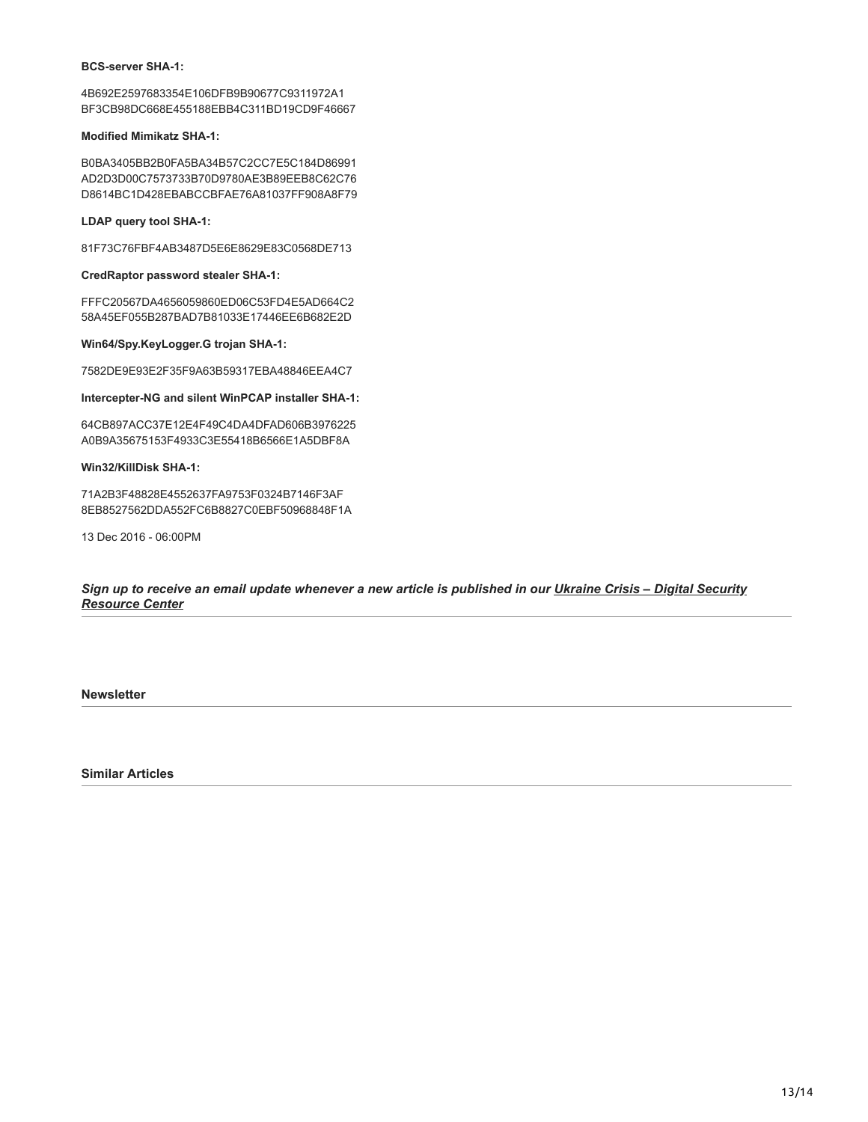#### **BCS-server SHA-1:**

4B692E2597683354E106DFB9B90677C9311972A1 BF3CB98DC668E455188EBB4C311BD19CD9F46667

### **Modified Mimikatz SHA-1:**

B0BA3405BB2B0FA5BA34B57C2CC7E5C184D86991 AD2D3D00C7573733B70D9780AE3B89EEB8C62C76 D8614BC1D428EBABCCBFAE76A81037FF908A8F79

**LDAP query tool SHA-1:**

81F73C76FBF4AB3487D5E6E8629E83C0568DE713

#### **CredRaptor password stealer SHA-1:**

FFFC20567DA4656059860ED06C53FD4E5AD664C2 58A45EF055B287BAD7B81033E17446EE6B682E2D

### **Win64/Spy.KeyLogger.G trojan SHA-1:**

7582DE9E93E2F35F9A63B59317EBA48846EEA4C7

**Intercepter-NG and silent WinPCAP installer SHA-1:**

64CB897ACC37E12E4F49C4DA4DFAD606B3976225 A0B9A35675153F4933C3E55418B6566E1A5DBF8A

### **Win32/KillDisk SHA-1:**

71A2B3F48828E4552637FA9753F0324B7146F3AF 8EB8527562DDA552FC6B8827C0EBF50968848F1A

13 Dec 2016 - 06:00PM

*[Sign up to receive an email update whenever a new article is published in our Ukraine Crisis – Digital Security](https://www.welivesecurity.com/category/ukraine-crisis-digital-security-resource-center/) Resource Center*

**Newsletter**

**Similar Articles**